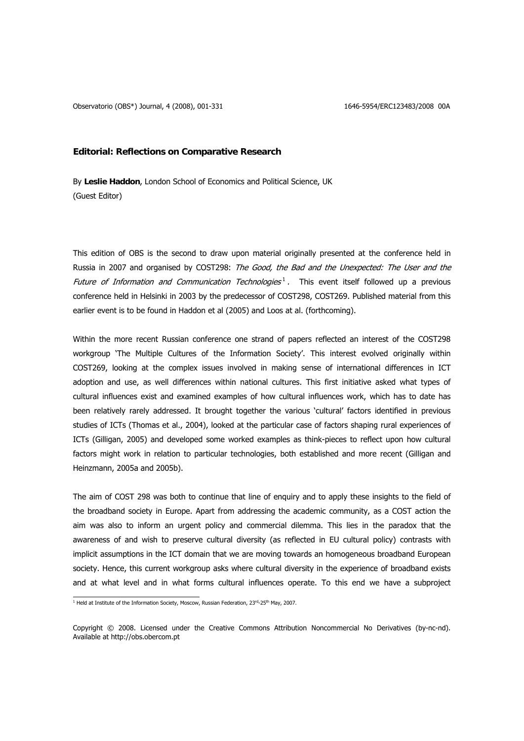Observatorio (OBS\*) Journal, 4 (2008), 001-331 1646-6954/ERC123483/2008 00A

# **Editorial: Reflections on Comparative Research**

By **Leslie Haddon**, London School of Economics and Political Science, UK (Guest Editor)

This edition of OBS is the second to draw upon material originally presented at the conference held in Russia in 2007 and organised by COST298: The Good, the Bad and the Unexpected: The User and the Future of Information and Communication Technologies<sup>1</sup>. This event itself followed up a previous [conference held in Helsinki in 2003 by the predecessor of COST298, COST269. Published material from this](#page-0-0)  [earlier event is to be found in Haddon et al \(2005\) and Loos at al. \(forthcoming\).](#page-0-0) 

Within the more recent Russian conference one strand of papers reflected an interest of the COST298 workgroup 'The Multiple Cultures of the Information Society'. This interest evolved originally within COST269, looking at the complex issues involved in making sense of international differences in ICT adoption and use, as well differences within national cultures. This first initiative asked what types of cultural influences exist and examined examples of how cultural influences work, which has to date has been relatively rarely addressed. It brought together the various 'cultural' factors identified in previous studies of ICTs (Thomas et al., 2004), looked at the particular case of factors shaping rural experiences of ICTs (Gilligan, 2005) and developed some worked examples as think-pieces to reflect upon how cultural factors might work in relation to particular technologies, both established and more recent (Gilligan and Heinzmann, 2005a and 2005b).

The aim of COST 298 was both to continue that line of enquiry and to apply these insights to the field of the broadband society in Europe. Apart from addressing the academic community, as a COST action the aim was also to inform an urgent policy and commercial dilemma. This lies in the paradox that the awareness of and wish to preserve cultural diversity (as reflected in EU cultural policy) contrasts with implicit assumptions in the ICT domain that we are moving towards an homogeneous broadband European society. Hence, this current workgroup asks where cultural diversity in the experience of broadband exists and at what level and in what forms cultural influences operate. To this end we have a subproject

<span id="page-0-0"></span><sup>&</sup>lt;sup>1</sup> Held at Institute of the Information Society, Moscow, Russian Federation, 23<sup>rd</sup>-25<sup>th</sup> May, 2007.

Copyright © 2008. Licensed under the Creative Commons Attribution Noncommercial No Derivatives (by-nc-nd). Available at http://obs.obercom.pt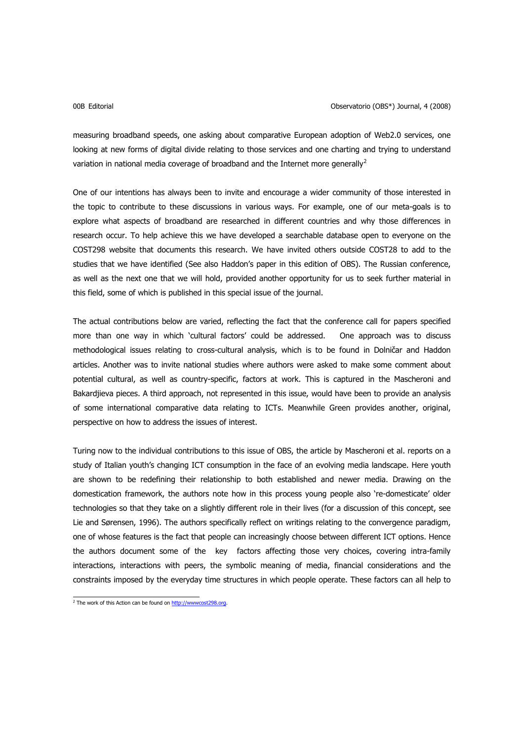measuring broadband speeds, one asking about comparative European adoption of Web2.0 services, one looking at new forms of digital divide relating to those services and one charting and trying to understand variation in national media coverage of broadband and the Internet more generally<sup>[2](#page-1-0)</sup>

One of our intentions has always been to invite and encourage a wider community of those interested in the topic to contribute to these discussions in various ways. For example, one of our meta-goals is to explore what aspects of broadband are researched in different countries and why those differences in research occur. To help achieve this we have developed a searchable database open to everyone on the COST298 website that documents this research. We have invited others outside COST28 to add to the studies that we have identified (See also Haddon's paper in this edition of OBS). The Russian conference, as well as the next one that we will hold, provided another opportunity for us to seek further material in this field, some of which is published in this special issue of the journal.

The actual contributions below are varied, reflecting the fact that the conference call for papers specified more than one way in which 'cultural factors' could be addressed. One approach was to discuss methodological issues relating to cross-cultural analysis, which is to be found in Dolničar and Haddon articles. Another was to invite national studies where authors were asked to make some comment about potential cultural, as well as country-specific, factors at work. This is captured in the Mascheroni and Bakardjieva pieces. A third approach, not represented in this issue, would have been to provide an analysis of some international comparative data relating to ICTs. Meanwhile Green provides another, original, perspective on how to address the issues of interest.

Turing now to the individual contributions to this issue of OBS, the article by Mascheroni et al. reports on a study of Italian youth's changing ICT consumption in the face of an evolving media landscape. Here youth are shown to be redefining their relationship to both established and newer media. Drawing on the domestication framework, the authors note how in this process young people also 're-domesticate' older technologies so that they take on a slightly different role in their lives (for a discussion of this concept, see Lie and Sørensen, 1996). The authors specifically reflect on writings relating to the convergence paradigm, one of whose features is the fact that people can increasingly choose between different ICT options. Hence the authors document some of the key factors affecting those very choices, covering intra-family interactions, interactions with peers, the symbolic meaning of media, financial considerations and the constraints imposed by the everyday time structures in which people operate. These factors can all help to

<span id="page-1-0"></span><sup>&</sup>lt;sup>2</sup> The work of this Action can be found on http://www.cost298.org.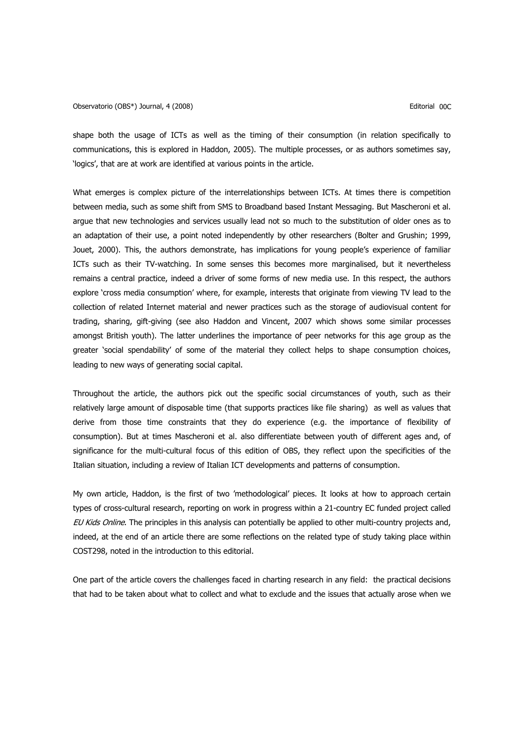shape both the usage of ICTs as well as the timing of their consumption (in relation specifically to communications, this is explored in Haddon, 2005). The multiple processes, or as authors sometimes say, 'logics', that are at work are identified at various points in the article.

What emerges is complex picture of the interrelationships between ICTs. At times there is competition between media, such as some shift from SMS to Broadband based Instant Messaging. But Mascheroni et al. argue that new technologies and services usually lead not so much to the substitution of older ones as to an adaptation of their use, a point noted independently by other researchers (Bolter and Grushin; 1999, Jouet, 2000). This, the authors demonstrate, has implications for young people's experience of familiar ICTs such as their TV-watching. In some senses this becomes more marginalised, but it nevertheless remains a central practice, indeed a driver of some forms of new media use. In this respect, the authors explore 'cross media consumption' where, for example, interests that originate from viewing TV lead to the collection of related Internet material and newer practices such as the storage of audiovisual content for trading, sharing, gift-giving (see also Haddon and Vincent, 2007 which shows some similar processes amongst British youth). The latter underlines the importance of peer networks for this age group as the greater 'social spendability' of some of the material they collect helps to shape consumption choices, leading to new ways of generating social capital.

Throughout the article, the authors pick out the specific social circumstances of youth, such as their relatively large amount of disposable time (that supports practices like file sharing) as well as values that derive from those time constraints that they do experience (e.g. the importance of flexibility of consumption). But at times Mascheroni et al. also differentiate between youth of different ages and, of significance for the multi-cultural focus of this edition of OBS, they reflect upon the specificities of the Italian situation, including a review of Italian ICT developments and patterns of consumption.

My own article, Haddon, is the first of two 'methodological' pieces. It looks at how to approach certain types of cross-cultural research, reporting on work in progress within a 21-country EC funded project called EU Kids Online. The principles in this analysis can potentially be applied to other multi-country projects and, indeed, at the end of an article there are some reflections on the related type of study taking place within COST298, noted in the introduction to this editorial.

One part of the article covers the challenges faced in charting research in any field: the practical decisions that had to be taken about what to collect and what to exclude and the issues that actually arose when we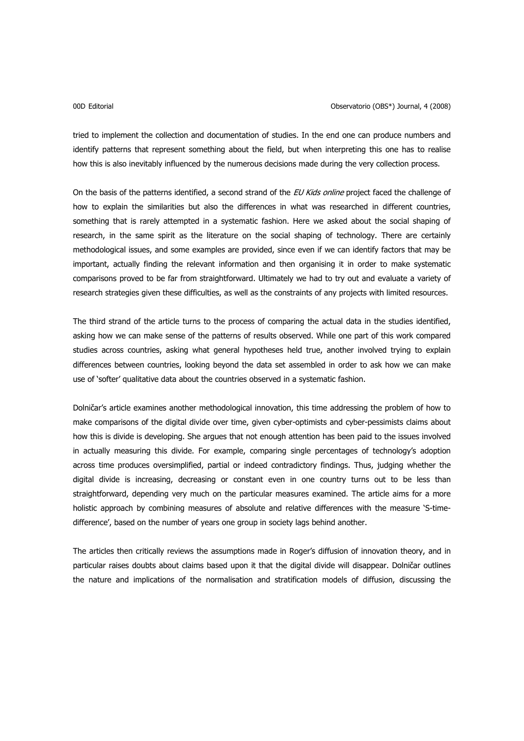tried to implement the collection and documentation of studies. In the end one can produce numbers and identify patterns that represent something about the field, but when interpreting this one has to realise how this is also inevitably influenced by the numerous decisions made during the very collection process.

On the basis of the patterns identified, a second strand of the *EU Kids online* project faced the challenge of how to explain the similarities but also the differences in what was researched in different countries, something that is rarely attempted in a systematic fashion. Here we asked about the social shaping of research, in the same spirit as the literature on the social shaping of technology. There are certainly methodological issues, and some examples are provided, since even if we can identify factors that may be important, actually finding the relevant information and then organising it in order to make systematic comparisons proved to be far from straightforward. Ultimately we had to try out and evaluate a variety of research strategies given these difficulties, as well as the constraints of any projects with limited resources.

The third strand of the article turns to the process of comparing the actual data in the studies identified, asking how we can make sense of the patterns of results observed. While one part of this work compared studies across countries, asking what general hypotheses held true, another involved trying to explain differences between countries, looking beyond the data set assembled in order to ask how we can make use of 'softer' qualitative data about the countries observed in a systematic fashion.

Dolničar's article examines another methodological innovation, this time addressing the problem of how to make comparisons of the digital divide over time, given cyber-optimists and cyber-pessimists claims about how this is divide is developing. She argues that not enough attention has been paid to the issues involved in actually measuring this divide. For example, comparing single percentages of technology's adoption across time produces oversimplified, partial or indeed contradictory findings. Thus, judging whether the digital divide is increasing, decreasing or constant even in one country turns out to be less than straightforward, depending very much on the particular measures examined. The article aims for a more holistic approach by combining measures of absolute and relative differences with the measure 'S-timedifference', based on the number of years one group in society lags behind another.

The articles then critically reviews the assumptions made in Roger's diffusion of innovation theory, and in particular raises doubts about claims based upon it that the digital divide will disappear. Dolničar outlines the nature and implications of the normalisation and stratification models of diffusion, discussing the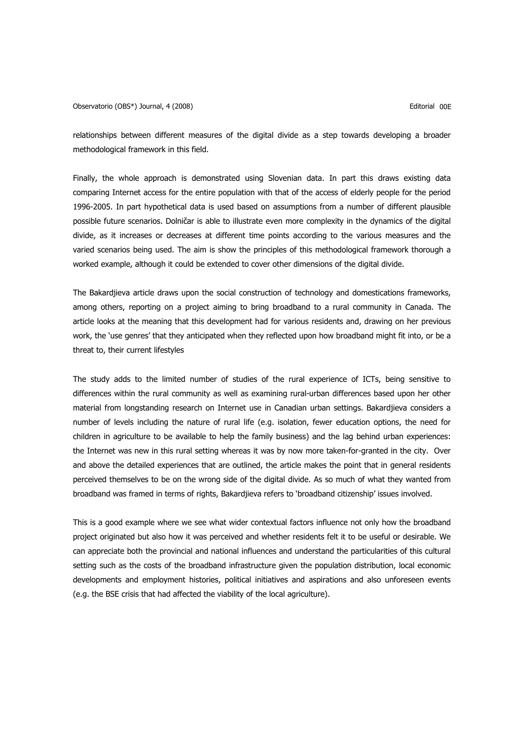## Observatorio (OBS\*) Journal, 4 (2008) Charles and Controller and Controller and Controller and Controller and Controller and Controller and Controller and Controller and Controller and Controller and Controller and Control

relationships between different measures of the digital divide as a step towards developing a broader methodological framework in this field.

Finally, the whole approach is demonstrated using Slovenian data. In part this draws existing data comparing Internet access for the entire population with that of the access of elderly people for the period 1996-2005. In part hypothetical data is used based on assumptions from a number of different plausible possible future scenarios. Dolničar is able to illustrate even more complexity in the dynamics of the digital divide, as it increases or decreases at different time points according to the various measures and the varied scenarios being used. The aim is show the principles of this methodological framework thorough a worked example, although it could be extended to cover other dimensions of the digital divide.

The Bakardjieva article draws upon the social construction of technology and domestications frameworks, among others, reporting on a project aiming to bring broadband to a rural community in Canada. The article looks at the meaning that this development had for various residents and, drawing on her previous work, the 'use genres' that they anticipated when they reflected upon how broadband might fit into, or be a threat to, their current lifestyles

The study adds to the limited number of studies of the rural experience of ICTs, being sensitive to differences within the rural community as well as examining rural-urban differences based upon her other material from longstanding research on Internet use in Canadian urban settings. Bakardjieva considers a number of levels including the nature of rural life (e.g. isolation, fewer education options, the need for children in agriculture to be available to help the family business) and the lag behind urban experiences: the Internet was new in this rural setting whereas it was by now more taken-for-granted in the city. Over and above the detailed experiences that are outlined, the article makes the point that in general residents perceived themselves to be on the wrong side of the digital divide. As so much of what they wanted from broadband was framed in terms of rights, Bakardjieva refers to 'broadband citizenship' issues involved.

This is a good example where we see what wider contextual factors influence not only how the broadband project originated but also how it was perceived and whether residents felt it to be useful or desirable. We can appreciate both the provincial and national influences and understand the particularities of this cultural setting such as the costs of the broadband infrastructure given the population distribution, local economic developments and employment histories, political initiatives and aspirations and also unforeseen events (e.g. the BSE crisis that had affected the viability of the local agriculture).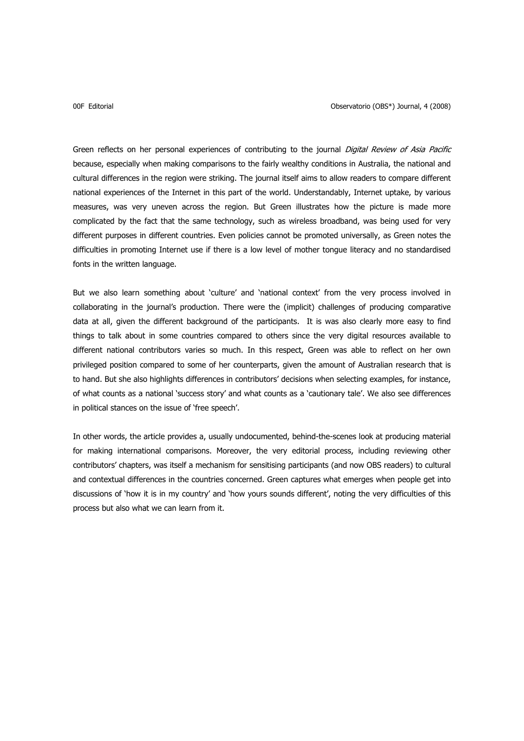Green reflects on her personal experiences of contributing to the journal Digital Review of Asia Pacific because, especially when making comparisons to the fairly wealthy conditions in Australia, the national and cultural differences in the region were striking. The journal itself aims to allow readers to compare different national experiences of the Internet in this part of the world. Understandably, Internet uptake, by various measures, was very uneven across the region. But Green illustrates how the picture is made more complicated by the fact that the same technology, such as wireless broadband, was being used for very different purposes in different countries. Even policies cannot be promoted universally, as Green notes the difficulties in promoting Internet use if there is a low level of mother tongue literacy and no standardised fonts in the written language.

But we also learn something about 'culture' and 'national context' from the very process involved in collaborating in the journal's production. There were the (implicit) challenges of producing comparative data at all, given the different background of the participants. It is was also clearly more easy to find things to talk about in some countries compared to others since the very digital resources available to different national contributors varies so much. In this respect, Green was able to reflect on her own privileged position compared to some of her counterparts, given the amount of Australian research that is to hand. But she also highlights differences in contributors' decisions when selecting examples, for instance, of what counts as a national 'success story' and what counts as a 'cautionary tale'. We also see differences in political stances on the issue of 'free speech'.

In other words, the article provides a, usually undocumented, behind-the-scenes look at producing material for making international comparisons. Moreover, the very editorial process, including reviewing other contributors' chapters, was itself a mechanism for sensitising participants (and now OBS readers) to cultural and contextual differences in the countries concerned. Green captures what emerges when people get into discussions of 'how it is in my country' and 'how yours sounds different', noting the very difficulties of this process but also what we can learn from it.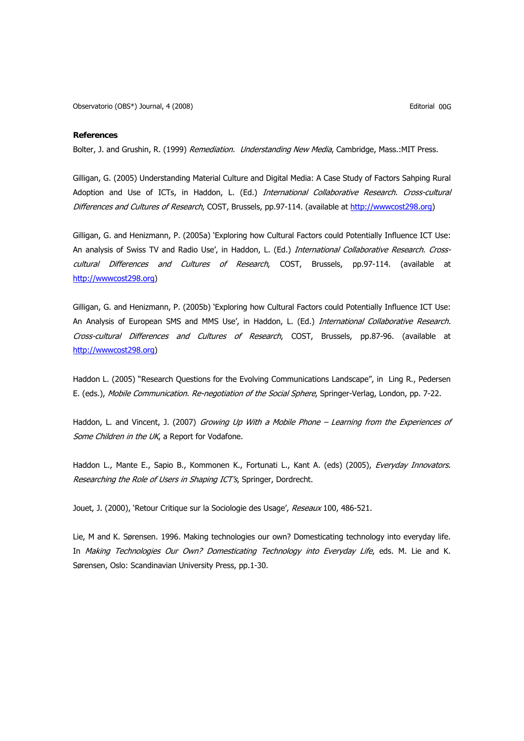Observatorio (OBS\*) Journal, 4 (2008) Editorial 00G

## **References**

Bolter, J. and Grushin, R. (1999) Remediation. Understanding New Media, Cambridge, Mass.:MIT Press.

Gilligan, G. (2005) Understanding Material Culture and Digital Media: A Case Study of Factors Sahping Rural Adoption and Use of ICTs, in Haddon, L. (Ed.) International Collaborative Research. Cross-cultural Differences and Cultures of Research, COST, Brussels, pp.97-114. (available at [http://wwwcost298.org](http://wwwcost298.org/))

Gilligan, G. and Henizmann, P. (2005a) 'Exploring how Cultural Factors could Potentially Influence ICT Use: An analysis of Swiss TV and Radio Use', in Haddon, L. (Ed.) International Collaborative Research. Crosscultural Differences and Cultures of Research, COST, Brussels, pp.97-114. (available at [http://wwwcost298.org\)](http://wwwcost298.org/)

Gilligan, G. and Henizmann, P. (2005b) 'Exploring how Cultural Factors could Potentially Influence ICT Use: An Analysis of European SMS and MMS Use', in Haddon, L. (Ed.) International Collaborative Research. Cross-cultural Differences and Cultures of Research, COST, Brussels, pp.87-96. (available at [http://wwwcost298.org\)](http://wwwcost298.org/)

Haddon L. (2005) "Research Questions for the Evolving Communications Landscape", in Ling R., Pedersen E. (eds.), Mobile Communication. Re-negotiation of the Social Sphere, Springer-Verlag, London, pp. 7-22.

Haddon, L. and Vincent, J. (2007) Growing Up With a Mobile Phone – Learning from the Experiences of Some Children in the UK, a Report for Vodafone.

Haddon L., Mante E., Sapio B., Kommonen K., Fortunati L., Kant A. (eds) (2005), Everyday Innovators. Researching the Role of Users in Shaping ICT's, Springer, Dordrecht.

Jouet, J. (2000), 'Retour Critique sur la Sociologie des Usage', Reseaux 100, 486-521.

Lie, M and K. Sørensen. 1996. Making technologies our own? Domesticating technology into everyday life. In Making Technologies Our Own? Domesticating Technology into Everyday Life, eds. M. Lie and K. Sørensen, Oslo: Scandinavian University Press, pp.1-30.